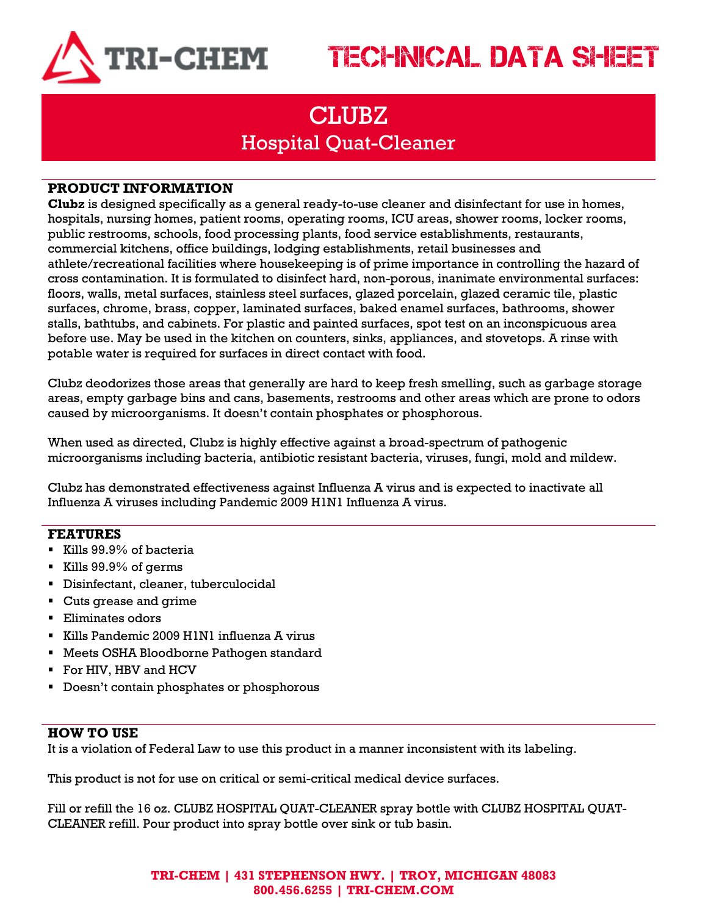

## TECHNICAL DATA SHEET

### **CLUBZ** Hospital Quat-Cleaner

#### **PRODUCT INFORMATION**

**Clubz** is designed specifically as a general ready-to-use cleaner and disinfectant for use in homes, hospitals, nursing homes, patient rooms, operating rooms, ICU areas, shower rooms, locker rooms, public restrooms, schools, food processing plants, food service establishments, restaurants, commercial kitchens, office buildings, lodging establishments, retail businesses and athlete/recreational facilities where housekeeping is of prime importance in controlling the hazard of cross contamination. It is formulated to disinfect hard, non-porous, inanimate environmental surfaces: floors, walls, metal surfaces, stainless steel surfaces, glazed porcelain, glazed ceramic tile, plastic surfaces, chrome, brass, copper, laminated surfaces, baked enamel surfaces, bathrooms, shower stalls, bathtubs, and cabinets. For plastic and painted surfaces, spot test on an inconspicuous area before use. May be used in the kitchen on counters, sinks, appliances, and stovetops. A rinse with potable water is required for surfaces in direct contact with food.

Clubz deodorizes those areas that generally are hard to keep fresh smelling, such as garbage storage areas, empty garbage bins and cans, basements, restrooms and other areas which are prone to odors caused by microorganisms. It doesn't contain phosphates or phosphorous.

When used as directed, Clubz is highly effective against a broad-spectrum of pathogenic microorganisms including bacteria, antibiotic resistant bacteria, viruses, fungi, mold and mildew.

Clubz has demonstrated effectiveness against Influenza A virus and is expected to inactivate all Influenza A viruses including Pandemic 2009 H1N1 Influenza A virus.

#### **FEATURES**

- Kills 99.9% of bacteria
- Kills 99.9% of germs
- Disinfectant, cleaner, tuberculocidal
- Cuts grease and grime
- Eliminates odors
- Kills Pandemic 2009 H1N1 influenza A virus
- Meets OSHA Bloodborne Pathogen standard
- For HIV, HBV and HCV
- **•** Doesn't contain phosphates or phosphorous

#### **HOW TO USE**

It is a violation of Federal Law to use this product in a manner inconsistent with its labeling.

This product is not for use on critical or semi-critical medical device surfaces.

Fill or refill the 16 oz. CLUBZ HOSPITAL QUAT-CLEANER spray bottle with CLUBZ HOSPITAL QUAT-CLEANER refill. Pour product into spray bottle over sink or tub basin.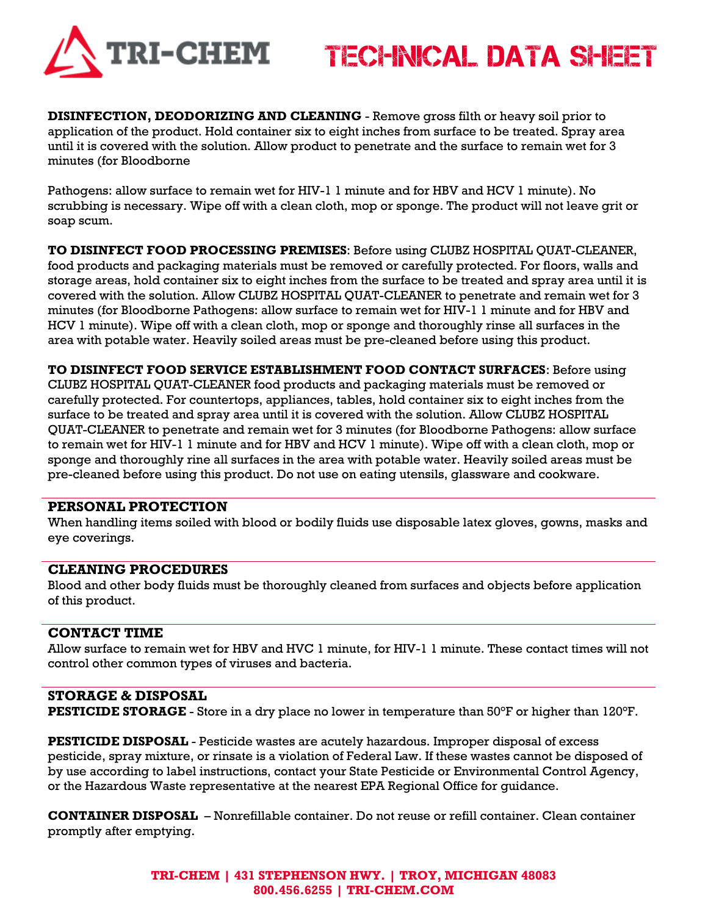

## TECHNICAL DATA SHEET

**DISINFECTION, DEODORIZING AND CLEANING** - Remove gross filth or heavy soil prior to application of the product. Hold container six to eight inches from surface to be treated. Spray area until it is covered with the solution. Allow product to penetrate and the surface to remain wet for 3 minutes (for Bloodborne

Pathogens: allow surface to remain wet for HIV-1 1 minute and for HBV and HCV 1 minute). No scrubbing is necessary. Wipe off with a clean cloth, mop or sponge. The product will not leave grit or soap scum.

**TO DISINFECT FOOD PROCESSING PREMISES**: Before using CLUBZ HOSPITAL QUAT-CLEANER, food products and packaging materials must be removed or carefully protected. For floors, walls and storage areas, hold container six to eight inches from the surface to be treated and spray area until it is covered with the solution. Allow CLUBZ HOSPITAL QUAT-CLEANER to penetrate and remain wet for 3 minutes (for Bloodborne Pathogens: allow surface to remain wet for HIV-1 1 minute and for HBV and HCV 1 minute). Wipe off with a clean cloth, mop or sponge and thoroughly rinse all surfaces in the area with potable water. Heavily soiled areas must be pre-cleaned before using this product.

**TO DISINFECT FOOD SERVICE ESTABLISHMENT FOOD CONTACT SURFACES**: Before using CLUBZ HOSPITAL QUAT-CLEANER food products and packaging materials must be removed or carefully protected. For countertops, appliances, tables, hold container six to eight inches from the surface to be treated and spray area until it is covered with the solution. Allow CLUBZ HOSPITAL QUAT-CLEANER to penetrate and remain wet for 3 minutes (for Bloodborne Pathogens: allow surface to remain wet for HIV-1 1 minute and for HBV and HCV 1 minute). Wipe off with a clean cloth, mop or sponge and thoroughly rine all surfaces in the area with potable water. Heavily soiled areas must be pre-cleaned before using this product. Do not use on eating utensils, glassware and cookware.

#### **PERSONAL PROTECTION**

When handling items soiled with blood or bodily fluids use disposable latex gloves, gowns, masks and eye coverings.

#### **CLEANING PROCEDURES**

Blood and other body fluids must be thoroughly cleaned from surfaces and objects before application of this product.

#### **CONTACT TIME**

Allow surface to remain wet for HBV and HVC 1 minute, for HIV-1 1 minute. These contact times will not control other common types of viruses and bacteria.

#### **STORAGE & DISPOSAL**

**PESTICIDE STORAGE** - Store in a dry place no lower in temperature than 50°F or higher than 120°F.

**PESTICIDE DISPOSAL** - Pesticide wastes are acutely hazardous. Improper disposal of excess pesticide, spray mixture, or rinsate is a violation of Federal Law. If these wastes cannot be disposed of by use according to label instructions, contact your State Pesticide or Environmental Control Agency, or the Hazardous Waste representative at the nearest EPA Regional Office for guidance.

**CONTAINER DISPOSAL** – Nonrefillable container. Do not reuse or refill container. Clean container promptly after emptying.

> **TRI-CHEM | 431 STEPHENSON HWY. | TROY, MICHIGAN 48083 800.456.6255 | TRI-CHEM.COM**